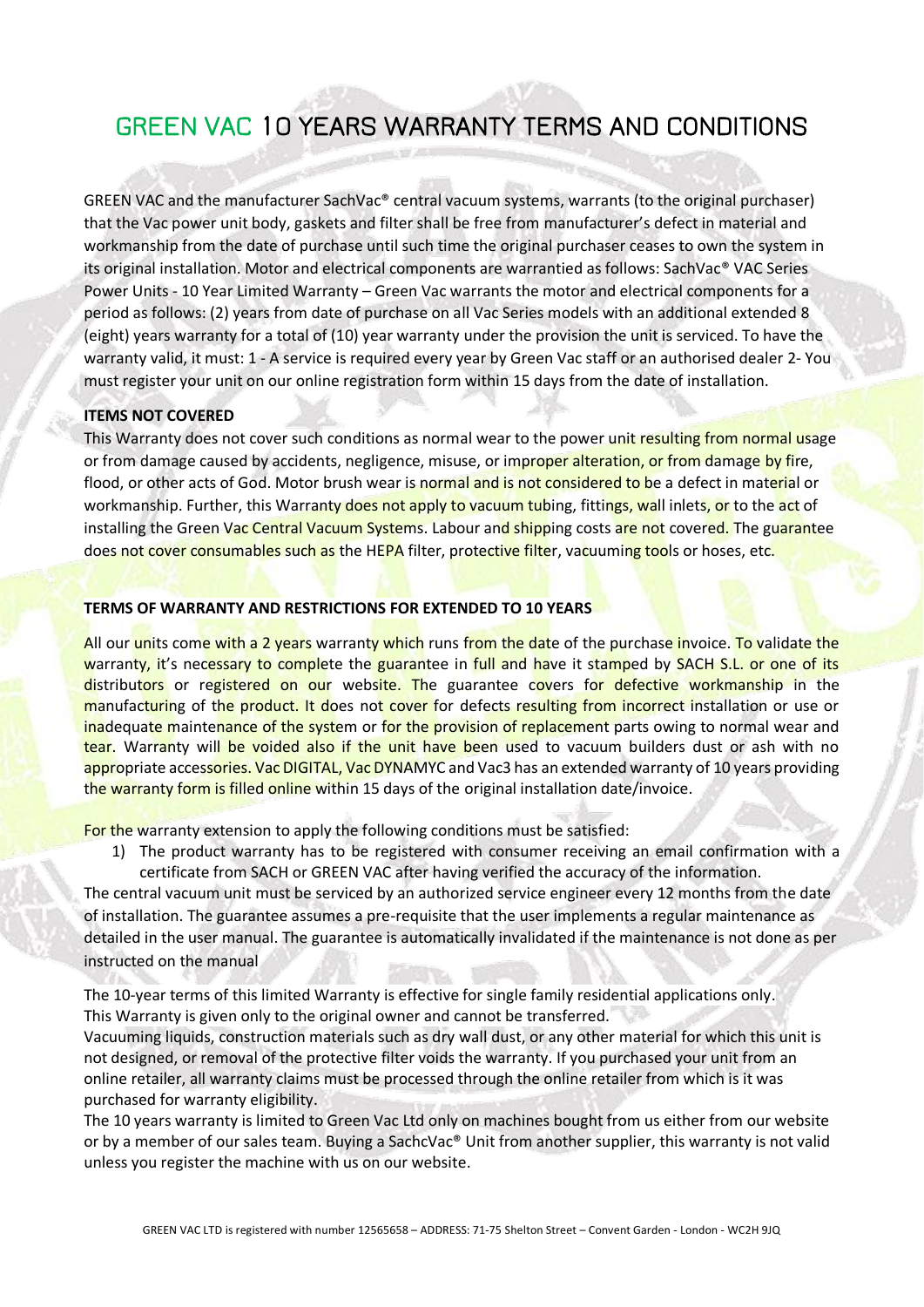# GREEN VAC 10 YEARS WARRANTY TERMS AND CONDITIONS

GREEN VAC and the manufacturer SachVac® central vacuum systems, warrants (to the original purchaser) that the Vac power unit body, gaskets and filter shall be free from manufacturer's defect in material and workmanship from the date of purchase until such time the original purchaser ceases to own the system in its original installation. Motor and electrical components are warrantied as follows: SachVac® VAC Series Power Units - 10 Year Limited Warranty – Green Vac warrants the motor and electrical components for a period as follows: (2) years from date of purchase on all Vac Series models with an additional extended 8 (eight) years warranty for a total of (10) year warranty under the provision the unit is serviced. To have the warranty valid, it must: 1 - A service is required every year by Green Vac staff or an authorised dealer 2- You must register your unit on our online registration form within 15 days from the date of installation.

#### **ITEMS NOT COVERED**

This Warranty does not cover such conditions as normal wear to the power unit resulting from normal usage or from damage caused by accidents, negligence, misuse, or improper alteration, or from damage by fire, flood, or other acts of God. Motor brush wear is normal and is not considered to be a defect in material or workmanship. Further, this Warranty does not apply to vacuum tubing, fittings, wall inlets, or to the act of installing the Green Vac Central Vacuum Systems. Labour and shipping costs are not covered. The guarantee does not cover consumables such as the HEPA filter, protective filter, vacuuming tools or hoses, etc.

## **TERMS OF WARRANTY AND RESTRICTIONS FOR EXTENDED TO 10 YEARS**

All our units come with a 2 years warranty which runs from the date of the purchase invoice. To validate the warranty, it's necessary to complete the guarantee in full and have it stamped by SACH S.L. or one of its distributors or registered on our website. The guarantee covers for defective workmanship in the manufacturing of the product. It does not cover for defects resulting from incorrect installation or use or inadequate maintenance of the system or for the provision of replacement parts owing to normal wear and tear. Warranty will be voided also if the unit have been used to vacuum builders dust or ash with no appropriate accessories. Vac DIGITAL, Vac DYNAMYC and Vac3 has an extended warranty of 10 years providing the warranty form is filled online within 15 days of the original installation date/invoice.

For the warranty extension to apply the following conditions must be satisfied:

1) The product warranty has to be registered with consumer receiving an email confirmation with a certificate from SACH or GREEN VAC after having verified the accuracy of the information.

The central vacuum unit must be serviced by an authorized service engineer every 12 months from the date of installation. The guarantee assumes a pre-requisite that the user implements a regular maintenance as detailed in the user manual. The guarantee is automatically invalidated if the maintenance is not done as per instructed on the manual

The 10-year terms of this limited Warranty is effective for single family residential applications only. This Warranty is given only to the original owner and cannot be transferred.

Vacuuming liquids, construction materials such as dry wall dust, or any other material for which this unit is not designed, or removal of the protective filter voids the warranty. If you purchased your unit from an online retailer, all warranty claims must be processed through the online retailer from which is it was purchased for warranty eligibility.

The 10 years warranty is limited to Green Vac Ltd only on machines bought from us either from our website or by a member of our sales team. Buying a SachcVac® Unit from another supplier, this warranty is not valid unless you register the machine with us on our website.